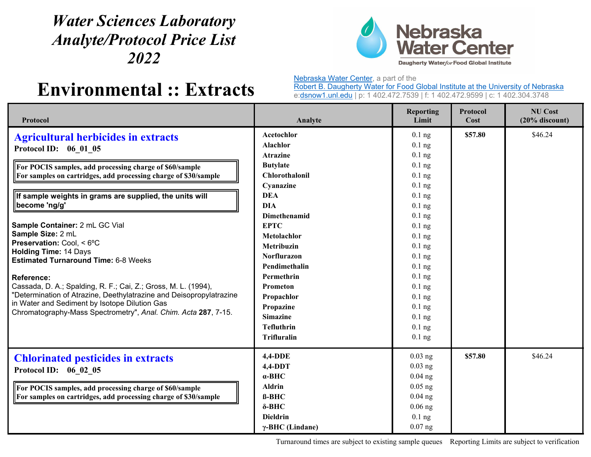## *Water Sciences Laboratory Analyte/Protocol Price List 2022*



## **Environmental :: Extracts**

Nebraska Water Center, a part of the

Robert B. Daugherty Water for Food Global Institute at the University of Nebraska e:dsnow1.unl.edu | p: 1 402.472.7539 | f: 1 402.472.9599 | c: 1 402.304.3748

| Protocol                                                                                                                                                                                                                                                                                                                                                                                                                                                                                                                                                                                                                                                                                                                          | Analyte                                                                                                                                                                                                                                                                                                                                       | <b>Reporting</b><br>Limit                                                                                                                                                                                                                                | <b>Protocol</b><br>Cost | <b>NU Cost</b><br>$(20%$ discount) |
|-----------------------------------------------------------------------------------------------------------------------------------------------------------------------------------------------------------------------------------------------------------------------------------------------------------------------------------------------------------------------------------------------------------------------------------------------------------------------------------------------------------------------------------------------------------------------------------------------------------------------------------------------------------------------------------------------------------------------------------|-----------------------------------------------------------------------------------------------------------------------------------------------------------------------------------------------------------------------------------------------------------------------------------------------------------------------------------------------|----------------------------------------------------------------------------------------------------------------------------------------------------------------------------------------------------------------------------------------------------------|-------------------------|------------------------------------|
| <b>Agricultural herbicides in extracts</b><br>Protocol ID: 06 01 05<br>For POCIS samples, add processing charge of \$60/sample<br>For samples on cartridges, add processing charge of \$30/sample<br>If sample weights in grams are supplied, the units will<br>become 'ng/g'<br>Sample Container: 2 mL GC Vial<br>Sample Size: 2 mL<br>Preservation: Cool, < 6°C<br><b>Holding Time: 14 Days</b><br><b>Estimated Turnaround Time: 6-8 Weeks</b><br><b>Reference:</b><br>Cassada, D. A.; Spalding, R. F.; Cai, Z.; Gross, M. L. (1994),<br>"Determination of Atrazine, Deethylatrazine and Deisopropylatrazine<br>in Water and Sediment by Isotope Dilution Gas<br>Chromatography-Mass Spectrometry", Anal. Chim. Acta 287, 7-15. | Acetochlor<br><b>Alachlor</b><br><b>Atrazine</b><br><b>Butylate</b><br>Chlorothalonil<br>Cyanazine<br><b>DEA</b><br><b>DIA</b><br>Dimethenamid<br><b>EPTC</b><br>Metolachlor<br>Metribuzin<br>Norflurazon<br>Pendimethalin<br>Permethrin<br>Prometon<br>Propachlor<br>Propazine<br><b>Simazine</b><br><b>Tefluthrin</b><br><b>Trifluralin</b> | $0.1$ ng<br>$0.1$ ng<br>$0.1$ ng<br>$0.1$ ng<br>$0.1$ ng<br>$0.1$ ng<br>$0.1$ ng<br>$0.1$ ng<br>$0.1$ ng<br>$0.1$ ng<br>$0.1$ ng<br>$0.1$ ng<br>$0.1$ ng<br>$0.1$ ng<br>$0.1$ ng<br>$0.1$ ng<br>$0.1$ ng<br>$0.1$ ng<br>$0.1$ ng<br>$0.1$ ng<br>$0.1$ ng | \$57.80                 | \$46.24                            |
| <b>Chlorinated pesticides in extracts</b><br>Protocol ID: 06 02 05<br>For POCIS samples, add processing charge of \$60/sample<br>For samples on cartridges, add processing charge of \$30/sample                                                                                                                                                                                                                                                                                                                                                                                                                                                                                                                                  | <b>4,4-DDE</b><br>$4,4-DDT$<br>$\alpha$ -BHC<br><b>Aldrin</b><br><b>ß-BHC</b><br>$\delta$ -BHC<br><b>Dieldrin</b><br>$\gamma$ -BHC (Lindane)                                                                                                                                                                                                  | $0.03$ ng<br>$0.03$ ng<br>$0.04$ ng<br>$0.05$ ng<br>$0.04$ ng<br>$0.06$ ng<br>$0.1$ ng<br>$0.07$ ng                                                                                                                                                      | \$57.80                 | \$46.24                            |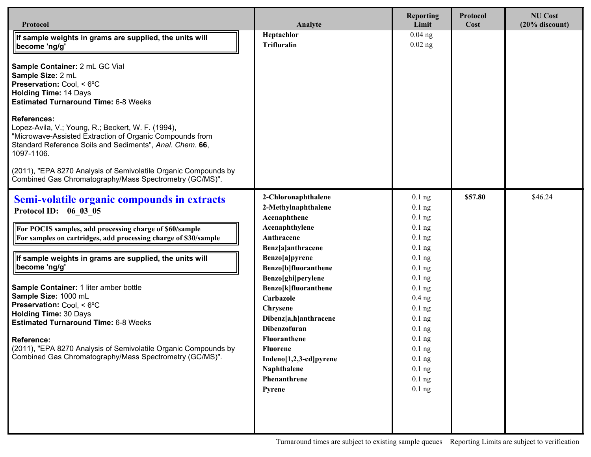| Protocol                                                                                                                                                                                                                                                                                                                                                                                                                                                                                                                                                                                                        | Analyte                                                                                                                                                                                                                                                                                                                                                                                | <b>Reporting</b><br>Limit                                                                                                                                                                                                                    | Protocol<br>Cost | <b>NU Cost</b><br>$(20%$ discount) |
|-----------------------------------------------------------------------------------------------------------------------------------------------------------------------------------------------------------------------------------------------------------------------------------------------------------------------------------------------------------------------------------------------------------------------------------------------------------------------------------------------------------------------------------------------------------------------------------------------------------------|----------------------------------------------------------------------------------------------------------------------------------------------------------------------------------------------------------------------------------------------------------------------------------------------------------------------------------------------------------------------------------------|----------------------------------------------------------------------------------------------------------------------------------------------------------------------------------------------------------------------------------------------|------------------|------------------------------------|
| If sample weights in grams are supplied, the units will<br>become 'ng/g'<br>Sample Container: 2 mL GC Vial<br>Sample Size: 2 mL<br>Preservation: Cool, < 6°C<br><b>Holding Time: 14 Days</b><br><b>Estimated Turnaround Time: 6-8 Weeks</b><br><b>References:</b><br>Lopez-Avila, V.; Young, R.; Beckert, W. F. (1994),<br>"Microwave-Assisted Extraction of Organic Compounds from<br>Standard Reference Soils and Sediments", Anal. Chem. 66,<br>1097-1106.<br>(2011), "EPA 8270 Analysis of Semivolatile Organic Compounds by<br>Combined Gas Chromatography/Mass Spectrometry (GC/MS)".                     | Heptachlor<br><b>Trifluralin</b>                                                                                                                                                                                                                                                                                                                                                       | $0.04$ ng<br>$0.02$ ng                                                                                                                                                                                                                       |                  |                                    |
| Semi-volatile organic compounds in extracts<br>Protocol ID: 06 03 05<br>For POCIS samples, add processing charge of \$60/sample<br>For samples on cartridges, add processing charge of \$30/sample<br>If sample weights in grams are supplied, the units will<br>become 'ng/g'<br>Sample Container: 1 liter amber bottle<br>Sample Size: 1000 mL<br>Preservation: Cool, < 6°C<br><b>Holding Time: 30 Days</b><br><b>Estimated Turnaround Time: 6-8 Weeks</b><br><b>Reference:</b><br>(2011), "EPA 8270 Analysis of Semivolatile Organic Compounds by<br>Combined Gas Chromatography/Mass Spectrometry (GC/MS)". | 2-Chloronaphthalene<br>2-Methylnaphthalene<br>Acenaphthene<br>Acenaphthylene<br>Anthracene<br>Benz[a]anthracene<br>Benzo[a]pyrene<br>Benzo[b]fluoranthene<br>Benzo[ghi]perylene<br>Benzo[k]fluoranthene<br>Carbazole<br>Chrysene<br>Dibenz[a,h]anthracene<br><b>Dibenzofuran</b><br>Fluoranthene<br><b>Fluorene</b><br>Indeno[1,2,3-cd]pyrene<br>Naphthalene<br>Phenanthrene<br>Pyrene | $0.1$ ng<br>$0.1$ ng<br>$0.1$ ng<br>$0.1$ ng<br>$0.1$ ng<br>$0.1$ ng<br>$0.1$ ng<br>$0.1$ ng<br>$0.1$ ng<br>$0.1$ ng<br>$0.4$ ng<br>$0.1$ ng<br>$0.1$ ng<br>$0.1$ ng<br>$0.1$ ng<br>$0.1$ ng<br>$0.1$ ng<br>$0.1$ ng<br>$0.1$ ng<br>$0.1$ ng | \$57.80          | \$46.24                            |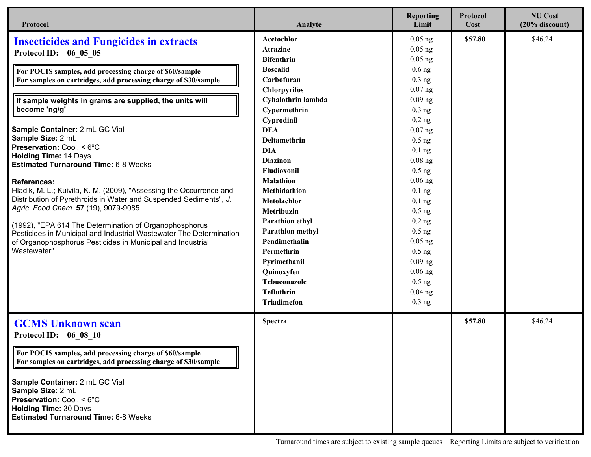| Protocol                                                                                                                                                        | Analyte                 | <b>Reporting</b><br>Limit | <b>Protocol</b><br>Cost | <b>NU Cost</b><br>$(20%$ discount) |
|-----------------------------------------------------------------------------------------------------------------------------------------------------------------|-------------------------|---------------------------|-------------------------|------------------------------------|
| <b>Insecticides and Fungicides in extracts</b>                                                                                                                  | Acetochlor              | $0.05$ ng                 | \$57.80                 | \$46.24                            |
| Protocol ID: 06 05 05                                                                                                                                           | <b>Atrazine</b>         | $0.05$ ng                 |                         |                                    |
|                                                                                                                                                                 | <b>Bifenthrin</b>       | $0.05$ ng                 |                         |                                    |
| For POCIS samples, add processing charge of \$60/sample                                                                                                         | <b>Boscalid</b>         | $0.6$ ng                  |                         |                                    |
| For samples on cartridges, add processing charge of \$30/sample                                                                                                 | Carbofuran              | $0.3$ ng                  |                         |                                    |
|                                                                                                                                                                 | <b>Chlorpyrifos</b>     | $0.07$ ng                 |                         |                                    |
| If sample weights in grams are supplied, the units will                                                                                                         | Cyhalothrin lambda      | $0.09$ ng                 |                         |                                    |
| become 'ng/g'                                                                                                                                                   | Cypermethrin            | $0.3$ ng                  |                         |                                    |
|                                                                                                                                                                 | Cyprodinil              | $0.2$ ng                  |                         |                                    |
| Sample Container: 2 mL GC Vial                                                                                                                                  | <b>DEA</b>              | $0.07$ ng                 |                         |                                    |
| Sample Size: 2 mL                                                                                                                                               | Deltamethrin            | $0.5$ ng                  |                         |                                    |
| Preservation: Cool, < 6°C<br><b>Holding Time: 14 Days</b>                                                                                                       | <b>DIA</b>              | $0.1$ ng                  |                         |                                    |
| <b>Estimated Turnaround Time: 6-8 Weeks</b>                                                                                                                     | <b>Diazinon</b>         | $0.08$ ng                 |                         |                                    |
|                                                                                                                                                                 | Fludioxonil             | $0.5$ ng                  |                         |                                    |
| <b>References:</b>                                                                                                                                              | <b>Malathion</b>        | $0.06$ ng                 |                         |                                    |
| Hladik, M. L.; Kuivila, K. M. (2009), "Assessing the Occurrence and                                                                                             | Methidathion            | $0.1$ ng                  |                         |                                    |
| Distribution of Pyrethroids in Water and Suspended Sediments", J.                                                                                               | Metolachlor             | $0.1$ ng                  |                         |                                    |
| Agric. Food Chem. 57 (19), 9079-9085.                                                                                                                           | Metribuzin              | $0.5$ ng                  |                         |                                    |
| (1992), "EPA 614 The Determination of Organophosphorus                                                                                                          | Parathion ethyl         | $0.2$ ng                  |                         |                                    |
| Pesticides in Municipal and Industrial Wastewater The Determination                                                                                             | <b>Parathion methyl</b> | $0.5$ ng                  |                         |                                    |
| of Organophosphorus Pesticides in Municipal and Industrial                                                                                                      | Pendimethalin           | $0.05$ ng                 |                         |                                    |
| Wastewater".                                                                                                                                                    | Permethrin              | $0.5$ ng                  |                         |                                    |
|                                                                                                                                                                 | Pyrimethanil            | $0.09$ ng                 |                         |                                    |
|                                                                                                                                                                 | Quinoxyfen              | $0.06$ ng                 |                         |                                    |
|                                                                                                                                                                 | <b>Tebuconazole</b>     | $0.5$ ng                  |                         |                                    |
|                                                                                                                                                                 | <b>Tefluthrin</b>       | $0.04$ ng                 |                         |                                    |
|                                                                                                                                                                 | <b>Triadimefon</b>      | $0.3$ ng                  |                         |                                    |
| <b>GCMS Unknown scan</b>                                                                                                                                        | <b>Spectra</b>          |                           | \$57.80                 | \$46.24                            |
| Protocol ID: 06 08 10                                                                                                                                           |                         |                           |                         |                                    |
| For POCIS samples, add processing charge of \$60/sample<br>For samples on cartridges, add processing charge of \$30/sample                                      |                         |                           |                         |                                    |
| Sample Container: 2 mL GC Vial<br>Sample Size: 2 mL<br>Preservation: Cool, < 6°C<br><b>Holding Time: 30 Days</b><br><b>Estimated Turnaround Time: 6-8 Weeks</b> |                         |                           |                         |                                    |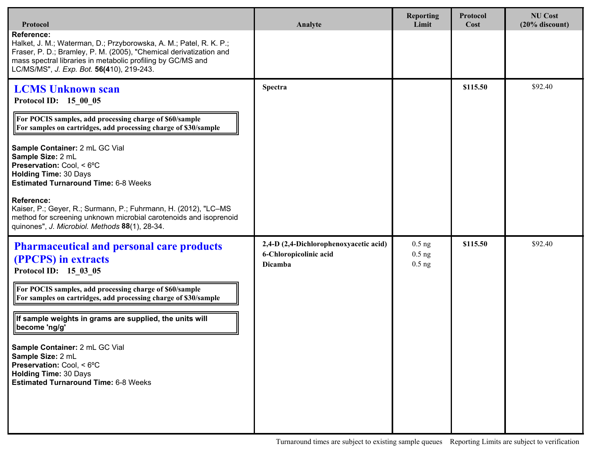| Protocol                                                                                                                                                                                                                                                                  | Analyte                                                                     | <b>Reporting</b><br>Limit        | <b>Protocol</b><br>Cost | <b>NU Cost</b><br>$(20%$ discount) |
|---------------------------------------------------------------------------------------------------------------------------------------------------------------------------------------------------------------------------------------------------------------------------|-----------------------------------------------------------------------------|----------------------------------|-------------------------|------------------------------------|
| <b>Reference:</b><br>Halket, J. M.; Waterman, D.; Przyborowska, A. M.; Patel, R. K. P.;<br>Fraser, P. D.; Bramley, P. M. (2005), "Chemical derivatization and<br>mass spectral libraries in metabolic profiling by GC/MS and<br>LC/MS/MS", J. Exp. Bot. 56(410), 219-243. |                                                                             |                                  |                         |                                    |
| <b>LCMS Unknown scan</b><br>Protocol ID: 15 00 05                                                                                                                                                                                                                         | <b>Spectra</b>                                                              |                                  | \$115.50                | \$92.40                            |
| For POCIS samples, add processing charge of \$60/sample<br>For samples on cartridges, add processing charge of \$30/sample                                                                                                                                                |                                                                             |                                  |                         |                                    |
| Sample Container: 2 mL GC Vial<br>Sample Size: 2 mL<br>Preservation: Cool, < 6°C<br><b>Holding Time: 30 Days</b><br><b>Estimated Turnaround Time: 6-8 Weeks</b>                                                                                                           |                                                                             |                                  |                         |                                    |
| Reference:<br>Kaiser, P.; Geyer, R.; Surmann, P.; Fuhrmann, H. (2012), "LC-MS<br>method for screening unknown microbial carotenoids and isoprenoid<br>quinones", J. Microbiol. Methods 88(1), 28-34.                                                                      |                                                                             |                                  |                         |                                    |
| <b>Pharmaceutical and personal care products</b><br>(PPCPS) in extracts<br>Protocol ID: 15_03_05                                                                                                                                                                          | 2,4-D (2,4-Dichlorophenoxyacetic acid)<br>6-Chloropicolinic acid<br>Dicamba | $0.5$ ng<br>$0.5$ ng<br>$0.5$ ng | \$115.50                | \$92.40                            |
| For POCIS samples, add processing charge of \$60/sample<br>For samples on cartridges, add processing charge of \$30/sample                                                                                                                                                |                                                                             |                                  |                         |                                    |
| If sample weights in grams are supplied, the units will<br>become 'ng/g'                                                                                                                                                                                                  |                                                                             |                                  |                         |                                    |
| Sample Container: 2 mL GC Vial<br>Sample Size: 2 mL<br>Preservation: Cool, < 6°C<br><b>Holding Time: 30 Days</b><br><b>Estimated Turnaround Time: 6-8 Weeks</b>                                                                                                           |                                                                             |                                  |                         |                                    |
|                                                                                                                                                                                                                                                                           |                                                                             |                                  |                         |                                    |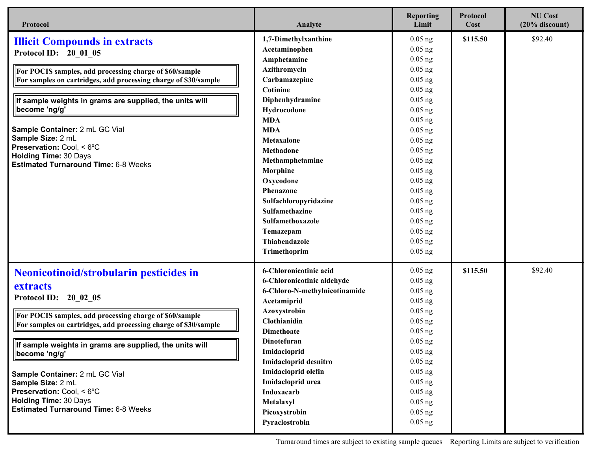| Protocol                                                                                                                                                                                                                                                                                                                                                                                                                                                  | Analyte                                                                                                                                                                                                                                                                                                                                                                 | <b>Reporting</b><br>Limit                                                                                                                                                                                                                                                                  | Protocol<br>Cost | <b>NU Cost</b><br>$(20%$ discount) |
|-----------------------------------------------------------------------------------------------------------------------------------------------------------------------------------------------------------------------------------------------------------------------------------------------------------------------------------------------------------------------------------------------------------------------------------------------------------|-------------------------------------------------------------------------------------------------------------------------------------------------------------------------------------------------------------------------------------------------------------------------------------------------------------------------------------------------------------------------|--------------------------------------------------------------------------------------------------------------------------------------------------------------------------------------------------------------------------------------------------------------------------------------------|------------------|------------------------------------|
| <b>Illicit Compounds in extracts</b><br>Protocol ID: 20 01 05<br>For POCIS samples, add processing charge of \$60/sample<br>For samples on cartridges, add processing charge of \$30/sample<br>If sample weights in grams are supplied, the units will<br>become 'ng/g'<br>Sample Container: 2 mL GC Vial<br>Sample Size: 2 mL<br>Preservation: Cool, < 6°C<br><b>Holding Time: 30 Days</b><br><b>Estimated Turnaround Time: 6-8 Weeks</b>                | 1,7-Dimethylxanthine<br>Acetaminophen<br>Amphetamine<br>Azithromycin<br>Carbamazepine<br>Cotinine<br>Diphenhydramine<br>Hydrocodone<br><b>MDA</b><br><b>MDA</b><br><b>Metaxalone</b><br>Methadone<br>Methamphetamine<br>Morphine<br>Oxycodone<br>Phenazone<br>Sulfachloropyridazine<br>Sulfamethazine<br>Sulfamethoxazole<br>Temazepam<br>Thiabendazole<br>Trimethoprim | $0.05$ ng<br>$0.05$ ng<br>$0.05$ ng<br>$0.05$ ng<br>$0.05$ ng<br>$0.05$ ng<br>$0.05$ ng<br>$0.05$ ng<br>$0.05$ ng<br>$0.05$ ng<br>$0.05$ ng<br>$0.05$ ng<br>$0.05$ ng<br>$0.05$ ng<br>$0.05$ ng<br>$0.05$ ng<br>$0.05$ ng<br>$0.05$ ng<br>$0.05$ ng<br>$0.05$ ng<br>$0.05$ ng<br>$0.05$ ng | \$115.50         | \$92.40                            |
| Neonicotinoid/strobularin pesticides in<br>extracts<br>Protocol ID: 20 02 05<br>For POCIS samples, add processing charge of \$60/sample<br>For samples on cartridges, add processing charge of \$30/sample<br>If sample weights in grams are supplied, the units will<br>become 'ng/g'<br>Sample Container: 2 mL GC Vial<br>Sample Size: 2 mL<br>Preservation: Cool, < 6°C<br><b>Holding Time: 30 Days</b><br><b>Estimated Turnaround Time: 6-8 Weeks</b> | 6-Chloronicotinic acid<br>6-Chloronicotinic aldehyde<br>6-Chloro-N-methylnicotinamide<br>Acetamiprid<br>Azoxystrobin<br>Clothianidin<br><b>Dimethoate</b><br>Dinotefuran<br>Imidacloprid<br>Imidacloprid desnitro<br>Imidacloprid olefin<br>Imidacloprid urea<br>Indoxacarb<br>Metalaxyl<br>Picoxystrobin<br>Pyraclostrobin                                             | $0.05$ ng<br>$0.05$ ng<br>$0.05$ ng<br>$0.05$ ng<br>$0.05$ ng<br>$0.05$ ng<br>$0.05$ ng<br>$0.05$ ng<br>$0.05$ ng<br>$0.05$ ng<br>$0.05$ ng<br>$0.05$ ng<br>$0.05$ ng<br>$0.05$ ng<br>$0.05$ ng<br>$0.05$ ng                                                                               | \$115.50         | \$92.40                            |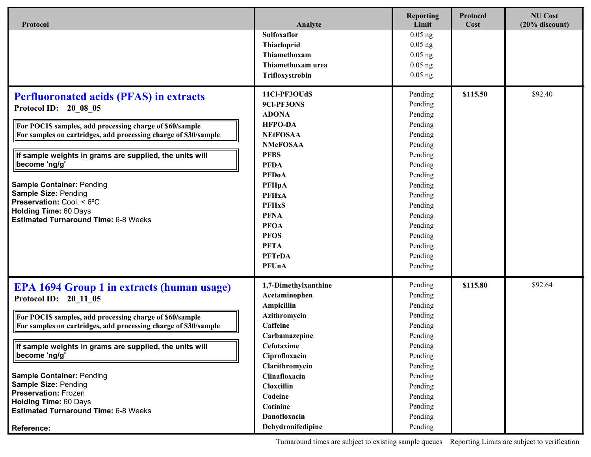| Protocol                                                                                                                                                                                                                                                                                                                                                                                                                                                                                   | Analyte                                                                                                                                                                                                                                                                                       | <b>Reporting</b><br>Limit                                                                                                                                                                          | Protocol<br>Cost | <b>NU Cost</b><br>$(20%$ discount) |
|--------------------------------------------------------------------------------------------------------------------------------------------------------------------------------------------------------------------------------------------------------------------------------------------------------------------------------------------------------------------------------------------------------------------------------------------------------------------------------------------|-----------------------------------------------------------------------------------------------------------------------------------------------------------------------------------------------------------------------------------------------------------------------------------------------|----------------------------------------------------------------------------------------------------------------------------------------------------------------------------------------------------|------------------|------------------------------------|
|                                                                                                                                                                                                                                                                                                                                                                                                                                                                                            | Sulfoxaflor<br>Thiacloprid<br>Thiamethoxam<br>Thiamethoxam urea<br>Trifloxystrobin                                                                                                                                                                                                            | $0.05$ ng<br>$0.05$ ng<br>$0.05$ ng<br>$0.05$ ng<br>$0.05$ ng                                                                                                                                      |                  |                                    |
| <b>Perfluoronated acids (PFAS) in extracts</b><br><b>Protocol ID:</b><br>20 08 05<br>For POCIS samples, add processing charge of \$60/sample<br>For samples on cartridges, add processing charge of \$30/sample<br>If sample weights in grams are supplied, the units will<br>become 'ng/g'<br><b>Sample Container: Pending</b><br><b>Sample Size: Pending</b><br>Preservation: Cool, < 6°C<br><b>Holding Time: 60 Days</b><br><b>Estimated Turnaround Time: 6-8 Weeks</b>                 | 11Cl-PF3OUdS<br>9Cl-PF3ONS<br><b>ADONA</b><br><b>HFPO-DA</b><br><b>NEtFOSAA</b><br><b>NMeFOSAA</b><br><b>PFBS</b><br><b>PFDA</b><br><b>PFDoA</b><br><b>PFHpA</b><br><b>PFHxA</b><br><b>PFHxS</b><br><b>PFNA</b><br><b>PFOA</b><br><b>PFOS</b><br><b>PFTA</b><br><b>PFTrDA</b><br><b>PFUnA</b> | Pending<br>Pending<br>Pending<br>Pending<br>Pending<br>Pending<br>Pending<br>Pending<br>Pending<br>Pending<br>Pending<br>Pending<br>Pending<br>Pending<br>Pending<br>Pending<br>Pending<br>Pending | \$115.50         | \$92.40                            |
| <b>EPA 1694 Group 1 in extracts (human usage)</b><br>Protocol ID: 20 11 05<br>For POCIS samples, add processing charge of \$60/sample<br>For samples on cartridges, add processing charge of \$30/sample<br>If sample weights in grams are supplied, the units will<br>become 'ng/g'<br><b>Sample Container: Pending</b><br><b>Sample Size: Pending</b><br><b>Preservation: Frozen</b><br><b>Holding Time: 60 Days</b><br><b>Estimated Turnaround Time: 6-8 Weeks</b><br><b>Reference:</b> | 1,7-Dimethylxanthine<br>Acetaminophen<br>Ampicillin<br>Azithromycin<br>Caffeine<br>Carbamazepine<br>Cefotaxime<br>Ciprofloxacin<br>Clarithromycin<br>Clinafloxacin<br>Cloxcillin<br>Codeine<br>Cotinine<br>Danofloxacin<br>Dehydronifedipine                                                  | Pending<br>Pending<br>Pending<br>Pending<br>Pending<br>Pending<br>Pending<br>Pending<br>Pending<br>Pending<br>Pending<br>Pending<br>Pending<br>Pending<br>Pending                                  | \$115.80         | \$92.64                            |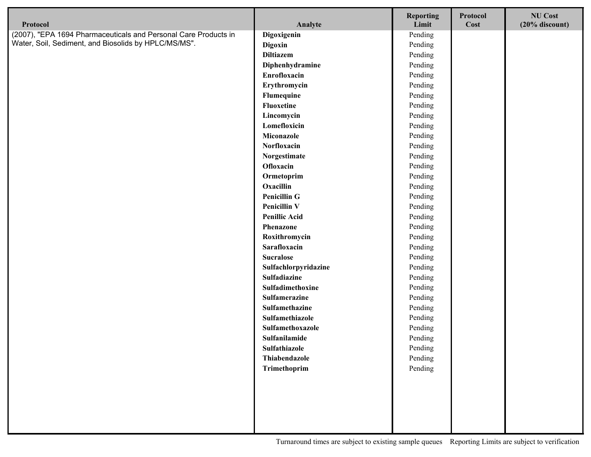| Protocol                                                        | Analyte                        | <b>Reporting</b><br>Limit | Protocol<br>Cost | <b>NU Cost</b><br>$(20%$ discount) |
|-----------------------------------------------------------------|--------------------------------|---------------------------|------------------|------------------------------------|
| (2007), "EPA 1694 Pharmaceuticals and Personal Care Products in | Digoxigenin                    | Pending                   |                  |                                    |
| Water, Soil, Sediment, and Biosolids by HPLC/MS/MS".            | Digoxin                        | Pending                   |                  |                                    |
|                                                                 | <b>Diltiazem</b>               | Pending                   |                  |                                    |
|                                                                 | Diphenhydramine                | Pending                   |                  |                                    |
|                                                                 | Enrofloxacin                   | Pending                   |                  |                                    |
|                                                                 | Erythromycin                   | Pending                   |                  |                                    |
|                                                                 | Flumequine                     | Pending                   |                  |                                    |
|                                                                 | Fluoxetine                     | Pending                   |                  |                                    |
|                                                                 | Lincomycin                     | Pending                   |                  |                                    |
|                                                                 | Lomefloxicin                   | Pending                   |                  |                                    |
|                                                                 | Miconazole                     | Pending                   |                  |                                    |
|                                                                 | Norfloxacin                    | Pending                   |                  |                                    |
|                                                                 | Norgestimate                   | Pending                   |                  |                                    |
|                                                                 | Ofloxacin                      | Pending                   |                  |                                    |
|                                                                 | Ormetoprim                     | Pending                   |                  |                                    |
|                                                                 | Oxacillin                      | Pending                   |                  |                                    |
|                                                                 | <b>Penicillin G</b>            | Pending                   |                  |                                    |
|                                                                 | <b>Penicillin V</b>            | Pending                   |                  |                                    |
|                                                                 | <b>Penillic Acid</b>           | Pending                   |                  |                                    |
|                                                                 | Phenazone                      | Pending                   |                  |                                    |
|                                                                 | Roxithromycin                  | Pending                   |                  |                                    |
|                                                                 | Sarafloxacin                   | Pending                   |                  |                                    |
|                                                                 | <b>Sucralose</b>               | Pending                   |                  |                                    |
|                                                                 | Sulfachlorpyridazine           | Pending                   |                  |                                    |
|                                                                 | Sulfadiazine                   | Pending                   |                  |                                    |
|                                                                 | Sulfadimethoxine               | Pending                   |                  |                                    |
|                                                                 | Sulfamerazine                  | Pending                   |                  |                                    |
|                                                                 | Sulfamethazine                 | Pending                   |                  |                                    |
|                                                                 | Sulfamethiazole                | Pending                   |                  |                                    |
|                                                                 | Sulfamethoxazole               | Pending                   |                  |                                    |
|                                                                 | Sulfanilamide<br>Sulfathiazole | Pending                   |                  |                                    |
|                                                                 | Thiabendazole                  | Pending<br>Pending        |                  |                                    |
|                                                                 |                                |                           |                  |                                    |
|                                                                 | Trimethoprim                   | Pending                   |                  |                                    |
|                                                                 |                                |                           |                  |                                    |
|                                                                 |                                |                           |                  |                                    |
|                                                                 |                                |                           |                  |                                    |
|                                                                 |                                |                           |                  |                                    |
|                                                                 |                                |                           |                  |                                    |

Ţ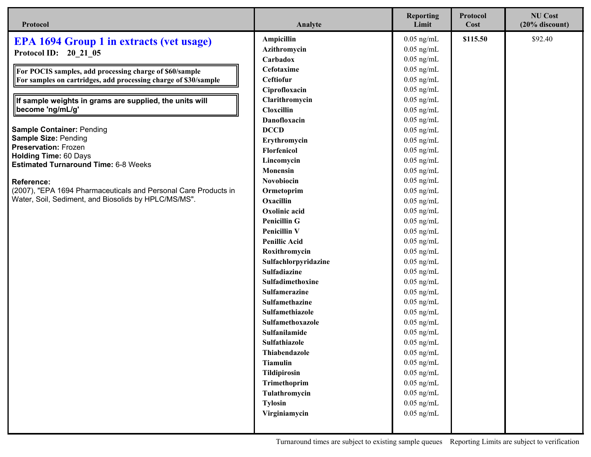| Protocol                                                        | Analyte              | <b>Reporting</b><br>Limit | Protocol<br>Cost | <b>NU Cost</b><br>$(20%$ discount) |
|-----------------------------------------------------------------|----------------------|---------------------------|------------------|------------------------------------|
| <b>EPA 1694 Group 1 in extracts (vet usage)</b>                 | Ampicillin           | $0.05$ ng/mL              | \$115.50         | \$92.40                            |
| Protocol ID: 20 21 05                                           | Azithromycin         | $0.05$ ng/mL              |                  |                                    |
|                                                                 | Carbadox             | $0.05$ ng/mL              |                  |                                    |
| For POCIS samples, add processing charge of \$60/sample         | Cefotaxime           | $0.05$ ng/mL              |                  |                                    |
| For samples on cartridges, add processing charge of \$30/sample | Ceftiofur            | $0.05$ ng/mL              |                  |                                    |
|                                                                 | Ciprofloxacin        | $0.05$ ng/mL              |                  |                                    |
| If sample weights in grams are supplied, the units will         | Clarithromycin       | $0.05$ ng/mL              |                  |                                    |
| become 'ng/mL/g'                                                | Cloxcillin           | $0.05$ ng/mL              |                  |                                    |
|                                                                 | Danofloxacin         | $0.05$ ng/mL              |                  |                                    |
| <b>Sample Container: Pending</b>                                | <b>DCCD</b>          | $0.05$ ng/mL              |                  |                                    |
| <b>Sample Size: Pending</b>                                     | Erythromycin         | $0.05$ ng/mL              |                  |                                    |
| <b>Preservation: Frozen</b><br><b>Holding Time: 60 Days</b>     | Florfenicol          | $0.05$ ng/mL              |                  |                                    |
| <b>Estimated Turnaround Time: 6-8 Weeks</b>                     | Lincomycin           | $0.05$ ng/mL              |                  |                                    |
|                                                                 | Monensin             | $0.05$ ng/mL              |                  |                                    |
| <b>Reference:</b>                                               | Novobiocin           | $0.05$ ng/mL              |                  |                                    |
| (2007), "EPA 1694 Pharmaceuticals and Personal Care Products in | Ormetoprim           | $0.05$ ng/mL              |                  |                                    |
| Water, Soil, Sediment, and Biosolids by HPLC/MS/MS".            | Oxacillin            | $0.05$ ng/mL              |                  |                                    |
|                                                                 | Oxolinic acid        | $0.05$ ng/mL              |                  |                                    |
|                                                                 | <b>Penicillin G</b>  | $0.05$ ng/mL              |                  |                                    |
|                                                                 | <b>Penicillin V</b>  | $0.05$ ng/mL              |                  |                                    |
|                                                                 | <b>Penillic Acid</b> | $0.05$ ng/mL              |                  |                                    |
|                                                                 | Roxithromycin        | $0.05$ ng/mL              |                  |                                    |
|                                                                 | Sulfachlorpyridazine | $0.05$ ng/mL              |                  |                                    |
|                                                                 | Sulfadiazine         | $0.05$ ng/mL              |                  |                                    |
|                                                                 | Sulfadimethoxine     | $0.05$ ng/mL              |                  |                                    |
|                                                                 | Sulfamerazine        | $0.05$ ng/mL              |                  |                                    |
|                                                                 | Sulfamethazine       | $0.05$ ng/mL              |                  |                                    |
|                                                                 | Sulfamethiazole      | $0.05$ ng/mL              |                  |                                    |
|                                                                 | Sulfamethoxazole     | $0.05$ ng/mL              |                  |                                    |
|                                                                 | Sulfanilamide        | $0.05$ ng/mL              |                  |                                    |
|                                                                 | Sulfathiazole        | $0.05$ ng/mL              |                  |                                    |
|                                                                 | Thiabendazole        | $0.05$ ng/mL              |                  |                                    |
|                                                                 | <b>Tiamulin</b>      | $0.05$ ng/mL              |                  |                                    |
|                                                                 | Tildipirosin         | $0.05$ ng/mL              |                  |                                    |
|                                                                 | Trimethoprim         | $0.05$ ng/mL              |                  |                                    |
|                                                                 | Tulathromycin        | $0.05$ ng/mL              |                  |                                    |
|                                                                 | <b>Tylosin</b>       | $0.05$ ng/mL              |                  |                                    |
|                                                                 | Virginiamycin        | $0.05$ ng/mL              |                  |                                    |
|                                                                 |                      |                           |                  |                                    |